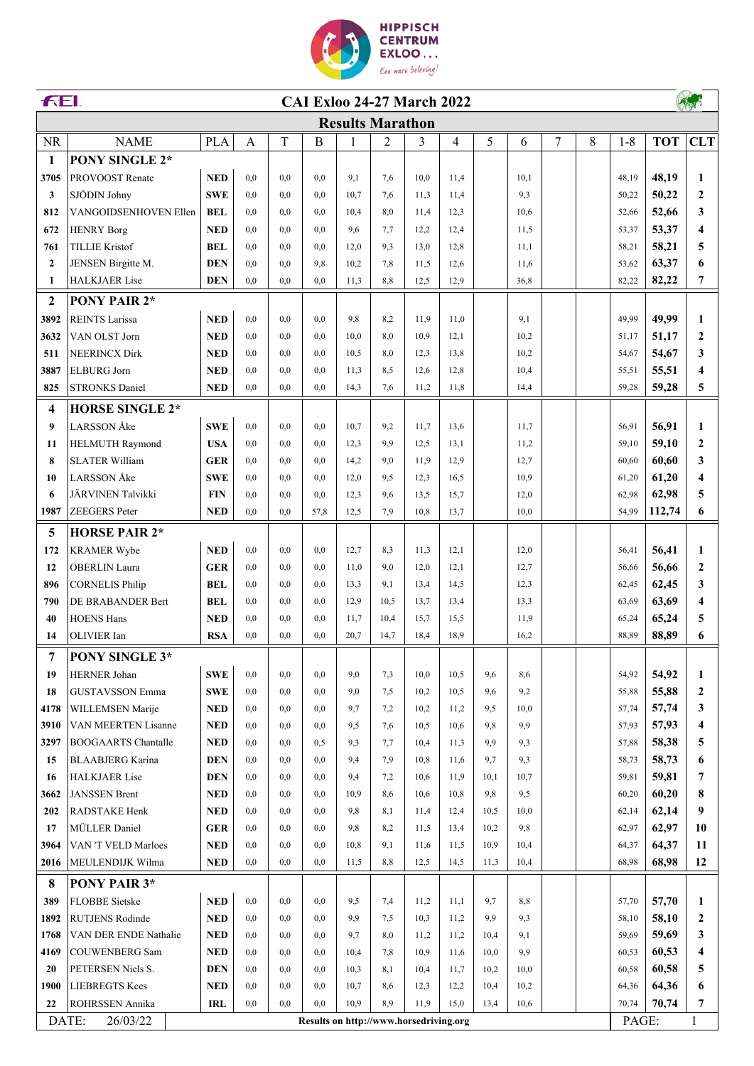

| FEI.<br><b>CAI Exloo 24-27 March 2022</b> |                            |            |              |     |          |                                        |      |                |      |      |      |   |   |         |            |                     |
|-------------------------------------------|----------------------------|------------|--------------|-----|----------|----------------------------------------|------|----------------|------|------|------|---|---|---------|------------|---------------------|
|                                           |                            |            |              |     |          | <b>Results Marathon</b>                |      |                |      |      |      |   |   |         |            |                     |
| <b>NR</b>                                 | <b>NAME</b>                | <b>PLA</b> | $\mathbf{A}$ | T   | $\bf{B}$ | $\mathbf{1}$                           | 2    | $\overline{3}$ | 4    | 5    | 6    | 7 | 8 | $1 - 8$ | <b>TOT</b> | <b>CLT</b>          |
| 1                                         | <b>PONY SINGLE 2*</b>      |            |              |     |          |                                        |      |                |      |      |      |   |   |         |            |                     |
| 3705                                      | <b>PROVOOST Renate</b>     | <b>NED</b> | 0.0          | 0.0 | 0.0      | 9,1                                    | 7,6  | 10,0           | 11,4 |      | 10.1 |   |   | 48,19   | 48,19      | 1                   |
| 3                                         | SJÖDIN Johny               | <b>SWE</b> | 0.0          | 0.0 | 0.0      | 10,7                                   | 7,6  | 11.3           | 11,4 |      | 9,3  |   |   | 50,22   | 50,22      | $\mathbf{2}$        |
| 812                                       | VANGOIDSENHOVEN Ellen      | <b>BEL</b> | 0.0          | 0.0 | 0.0      | 10,4                                   | 8,0  | 11,4           | 12,3 |      | 10.6 |   |   | 52,66   | 52,66      | 3                   |
| 672                                       | <b>HENRY Borg</b>          | <b>NED</b> | 0,0          | 0.0 | 0.0      | 9,6                                    | 7,7  | 12,2           | 12,4 |      | 11,5 |   |   | 53,37   | 53,37      | $\overline{\bf{4}}$ |
| 761                                       | <b>TILLIE Kristof</b>      | <b>BEL</b> | 0,0          | 0,0 | 0,0      | 12,0                                   | 9,3  | 13,0           | 12,8 |      | 11,1 |   |   | 58,21   | 58,21      | 5                   |
| $\mathbf{2}$                              | JENSEN Birgitte M.         | <b>DEN</b> | 0,0          | 0.0 | 9,8      | 10,2                                   | 7,8  | 11,5           | 12,6 |      | 11,6 |   |   | 53,62   | 63,37      | 6                   |
| 1                                         | <b>HALKJAER</b> Lise       | <b>DEN</b> | 0.0          | 0.0 | 0.0      | 11,3                                   | 8.8  | 12,5           | 12,9 |      | 36,8 |   |   | 82,22   | 82,22      | 7                   |
| $\boldsymbol{2}$                          | PONY PAIR 2*               |            |              |     |          |                                        |      |                |      |      |      |   |   |         |            |                     |
| 3892                                      | <b>REINTS Larissa</b>      | <b>NED</b> | 0,0          | 0,0 | 0,0      | 9,8                                    | 8,2  | 11,9           | 11,0 |      | 9,1  |   |   | 49,99   | 49,99      | 1                   |
| 3632                                      | VAN OLST Jorn              | <b>NED</b> | 0,0          | 0,0 | 0,0      | 10,0                                   | 8,0  | 10,9           | 12,1 |      | 10,2 |   |   | 51,17   | 51,17      | $\overline{2}$      |
| 511                                       | <b>NEERINCX Dirk</b>       | <b>NED</b> | 0,0          | 0,0 | 0,0      | 10,5                                   | 8,0  | 12,3           | 13,8 |      | 10,2 |   |   | 54,67   | 54,67      | 3                   |
| 3887                                      | <b>ELBURG</b> Jorn         | <b>NED</b> | 0,0          | 0.0 | 0,0      | 11,3                                   | 8.5  | 12,6           | 12,8 |      | 10,4 |   |   | 55,51   | 55,51      | $\overline{\bf{4}}$ |
| 825                                       | <b>STRONKS Daniel</b>      | <b>NED</b> | 0,0          | 0,0 | 0.0      | 14,3                                   | 7,6  | 11,2           | 11,8 |      | 14,4 |   |   | 59,28   | 59,28      | 5                   |
|                                           |                            |            |              |     |          |                                        |      |                |      |      |      |   |   |         |            |                     |
| 4                                         | <b>HORSE SINGLE 2*</b>     |            |              |     |          |                                        |      |                |      |      |      |   |   |         |            |                     |
| 9                                         | <b>LARSSON</b> Åke         | <b>SWE</b> | 0.0          | 0.0 | 0,0      | 10.7                                   | 9,2  | 11,7           | 13,6 |      | 11,7 |   |   | 56,91   | 56,91      | 1                   |
| 11                                        | <b>HELMUTH Raymond</b>     | <b>USA</b> | 0.0          | 0,0 | 0.0      | 12,3                                   | 9,9  | 12,5           | 13,1 |      | 11,2 |   |   | 59,10   | 59,10      | $\mathbf{2}$        |
| 8                                         | <b>SLATER William</b>      | <b>GER</b> | 0,0          | 0.0 | 0.0      | 14,2                                   | 9,0  | 11.9           | 12,9 |      | 12,7 |   |   | 60,60   | 60,60      | 3                   |
| 10                                        | <b>LARSSON</b> Åke         | <b>SWE</b> | 0,0          | 0.0 | 0,0      | 12,0                                   | 9,5  | 12,3           | 16,5 |      | 10,9 |   |   | 61,20   | 61,20      | $\overline{\bf{4}}$ |
| 6                                         | JÄRVINEN Talvikki          | <b>FIN</b> | 0,0          | 0,0 | 0,0      | 12,3                                   | 9,6  | 13,5           | 15,7 |      | 12,0 |   |   | 62,98   | 62,98      | 5                   |
| 1987                                      | <b>ZEEGERS</b> Peter       | <b>NED</b> | 0,0          | 0,0 | 57,8     | 12,5                                   | 7,9  | 10,8           | 13,7 |      | 10,0 |   |   | 54,99   | 112,74     | 6                   |
| 5                                         | <b>HORSE PAIR 2*</b>       |            |              |     |          |                                        |      |                |      |      |      |   |   |         |            |                     |
| 172                                       | <b>KRAMER Wybe</b>         | <b>NED</b> | 0,0          | 0,0 | 0,0      | 12,7                                   | 8,3  | 11,3           | 12,1 |      | 12,0 |   |   | 56,41   | 56,41      | 1                   |
| 12                                        | <b>OBERLIN</b> Laura       | <b>GER</b> | 0,0          | 0.0 | 0.0      | 11,0                                   | 9,0  | 12,0           | 12,1 |      | 12,7 |   |   | 56,66   | 56,66      | $\boldsymbol{2}$    |
| 896                                       | <b>CORNELIS Philip</b>     | <b>BEL</b> | 0,0          | 0.0 | 0.0      | 13,3                                   | 9.1  | 13,4           | 14,5 |      | 12,3 |   |   | 62,45   | 62,45      | 3                   |
| 790                                       | DE BRABANDER Bert          | <b>BEL</b> | 0.0          | 0.0 | 0.0      | 12,9                                   | 10,5 | 13,7           | 13,4 |      | 13,3 |   |   | 63,69   | 63,69      | 4                   |
| 40                                        | <b>HOENS Hans</b>          | <b>NED</b> | 0,0          | 0,0 | 0,0      | 11,7                                   | 10,4 | 15,7           | 15,5 |      | 11,9 |   |   | 65,24   | 65,24      | 5                   |
| 14                                        | OLIVIER Ian                | <b>RSA</b> | 0,0          | 0,0 | 0,0      | 20,7                                   | 14,7 | 18,4           | 18,9 |      | 16,2 |   |   | 88,89   | 88,89      | 6                   |
| 7                                         | PONY SINGLE 3*             |            |              |     |          |                                        |      |                |      |      |      |   |   |         |            |                     |
| 19                                        | <b>HERNER Johan</b>        | <b>SWE</b> | 0,0          | 0,0 | 0,0      | 9,0                                    | 7,3  | 10,0           | 10,5 | 9,6  | 8,6  |   |   | 54,92   | 54,92      | 1                   |
| 18                                        | <b>GUSTAVSSON Emma</b>     | <b>SWE</b> | 0,0          | 0,0 | 0,0      | 9,0                                    | 7,5  | 10,2           | 10,5 | 9,6  | 9,2  |   |   | 55,88   | 55,88      | $\mathbf{2}$        |
| 4178                                      | WILLEMSEN Marije           | <b>NED</b> | 0,0          | 0,0 | 0,0      | 9,7                                    | 7,2  | 10,2           | 11,2 | 9,5  | 10,0 |   |   | 57,74   | 57,74      | 3                   |
| 3910                                      | VAN MEERTEN Lisanne        | <b>NED</b> | 0,0          | 0,0 | 0,0      | 9,5                                    | 7,6  | 10,5           | 10,6 | 9,8  | 9,9  |   |   | 57,93   | 57,93      | 4                   |
| 3297                                      | <b>BOOGAARTS Chantalle</b> | <b>NED</b> | 0,0          | 0,0 | 0,5      | 9,3                                    | 7,7  | 10,4           | 11,3 | 9,9  | 9,3  |   |   | 57,88   | 58,38      | 5                   |
| 15                                        | <b>BLAABJERG Karina</b>    | <b>DEN</b> | 0,0          | 0,0 | 0,0      | 9,4                                    | 7,9  | 10,8           | 11,6 | 9,7  | 9,3  |   |   | 58,73   | 58,73      | 6                   |
| 16                                        | <b>HALKJAER</b> Lise       | <b>DEN</b> | 0,0          | 0,0 | 0,0      | 9,4                                    | 7,2  | 10,6           | 11,9 | 10,1 | 10,7 |   |   | 59,81   | 59,81      | 7                   |
| 3662                                      | <b>JANSSEN Brent</b>       | <b>NED</b> | 0,0          | 0,0 | 0,0      | 10,9                                   | 8,6  | 10,6           | 10,8 | 9,8  | 9,5  |   |   | 60,20   | 60,20      | 8                   |
| 202                                       | RADSTAKE Henk              | <b>NED</b> | 0,0          | 0,0 | 0,0      | 9,8                                    | 8,1  | 11,4           | 12,4 | 10,5 | 10,0 |   |   | 62,14   | 62,14      | 9                   |
| 17                                        | MÜLLER Daniel              | <b>GER</b> | 0,0          | 0,0 | 0,0      | 9,8                                    | 8,2  | 11,5           | 13,4 | 10,2 | 9,8  |   |   | 62,97   | 62,97      | 10                  |
| 3964                                      | VAN 'T VELD Marloes        | <b>NED</b> | 0,0          | 0,0 | 0,0      | 10,8                                   | 9,1  | 11,6           | 11,5 | 10,9 | 10,4 |   |   | 64,37   | 64,37      | 11                  |
| 2016                                      | MEULENDIJK Wilma           | <b>NED</b> | 0,0          | 0,0 | 0,0      | 11,5                                   | 8,8  | 12,5           | 14,5 | 11,3 | 10,4 |   |   | 68,98   | 68,98      | 12                  |
| 8                                         | PONY PAIR 3*               |            |              |     |          |                                        |      |                |      |      |      |   |   |         |            |                     |
| 389                                       | <b>FLOBBE</b> Sietske      | <b>NED</b> | 0,0          | 0.0 | 0,0      | 9,5                                    | 7,4  | 11,2           | 11,1 | 9,7  | 8,8  |   |   | 57,70   | 57,70      | 1                   |
| 1892                                      | <b>RUTJENS Rodinde</b>     | <b>NED</b> | 0,0          | 0,0 | 0,0      | 9,9                                    | 7,5  | 10,3           | 11,2 | 9,9  | 9,3  |   |   | 58,10   | 58,10      | 2                   |
| 1768                                      | VAN DER ENDE Nathalie      | <b>NED</b> | 0,0          | 0,0 | 0,0      | 9,7                                    | 8,0  | 11,2           | 11,2 | 10,4 | 9,1  |   |   | 59,69   | 59,69      | 3                   |
| 4169                                      | <b>COUWENBERG Sam</b>      | <b>NED</b> | 0,0          | 0,0 | 0,0      | 10,4                                   | 7,8  | 10,9           | 11,6 | 10,0 | 9.9  |   |   | 60,53   | 60,53      | 4                   |
| 20                                        | PETERSEN Niels S.          | <b>DEN</b> | 0,0          | 0,0 | 0,0      | 10,3                                   | 8,1  | 10,4           | 11,7 | 10,2 | 10,0 |   |   | 60,58   | 60,58      | 5                   |
| 1900                                      | <b>LIEBREGTS Kees</b>      | <b>NED</b> | 0,0          | 0,0 | 0,0      | 10,7                                   | 8,6  | 12,3           | 12,2 | 10,4 | 10,2 |   |   | 64,36   | 64,36      | 6                   |
| 22                                        | ROHRSSEN Annika            | <b>IRL</b> | 0,0          | 0,0 | 0.0      | 10.9                                   | 8.9  | 11,9           | 15,0 | 13,4 | 10,6 |   |   | 70,74   | 70,74      | 7                   |
|                                           | 26/03/22<br>DATE:          |            |              |     |          | Results on http://www.horsedriving.org |      |                |      |      |      |   |   | PAGE:   |            | $\mathbf{1}$        |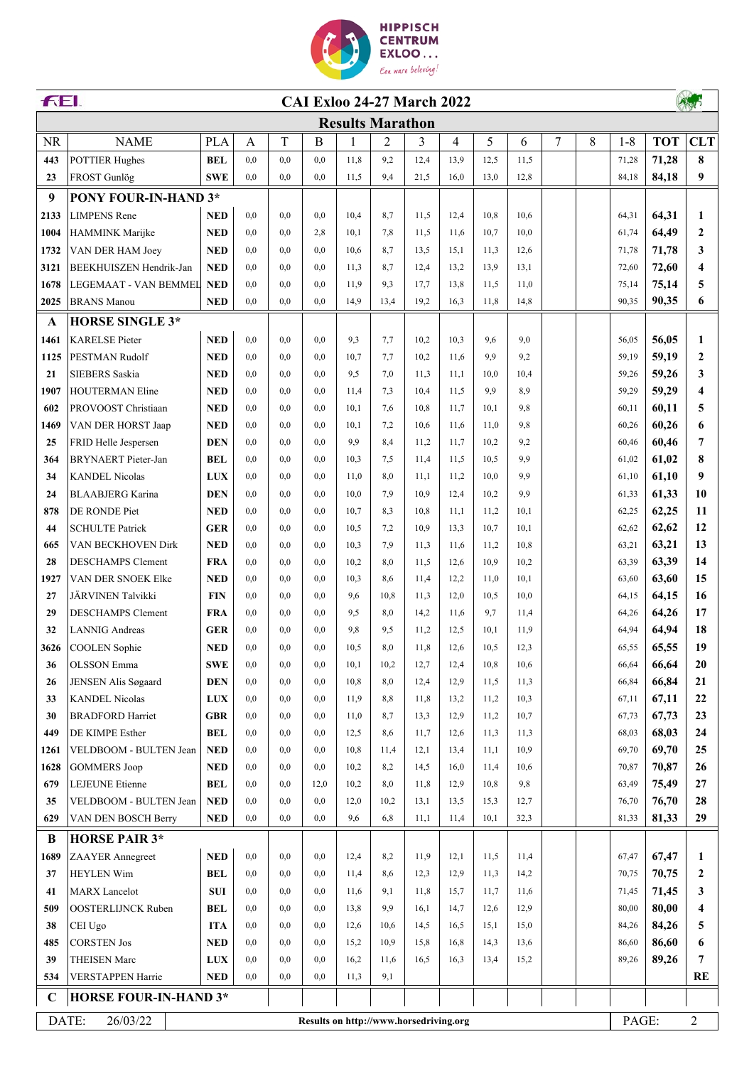

| FEI.<br><b>CAI Exloo 24-27 March 2022</b> |                                                             |            |     |     |      |                         |      |      |      |      |      |   |       |         |            |                         |
|-------------------------------------------|-------------------------------------------------------------|------------|-----|-----|------|-------------------------|------|------|------|------|------|---|-------|---------|------------|-------------------------|
|                                           |                                                             |            |     |     |      | <b>Results Marathon</b> |      |      |      |      |      |   |       |         |            |                         |
| <b>NR</b>                                 | <b>NAME</b>                                                 | <b>PLA</b> | А   | T   | B    | 1                       | 2    | 3    | 4    | 5    | 6    | 7 | 8     | $1 - 8$ | <b>TOT</b> | <b>CLT</b>              |
| 443                                       | <b>POTTIER Hughes</b>                                       | <b>BEL</b> | 0.0 | 0.0 | 0.0  | 11.8                    | 9,2  | 12,4 | 13,9 | 12,5 | 11,5 |   |       | 71,28   | 71,28      | 8                       |
| 23                                        | FROST Gunlög                                                | <b>SWE</b> | 0.0 | 0.0 | 0,0  | 11.5                    | 9.4  | 21,5 | 16,0 | 13,0 | 12,8 |   |       | 84,18   | 84,18      | 9                       |
| 9                                         | <b>PONY FOUR-IN-HAND 3*</b>                                 |            |     |     |      |                         |      |      |      |      |      |   |       |         |            |                         |
| 2133                                      | <b>LIMPENS Rene</b>                                         | <b>NED</b> | 0.0 | 0.0 | 0,0  | 10.4                    | 8,7  | 11.5 | 12,4 | 10,8 | 10.6 |   |       | 64,31   | 64,31      | 1                       |
| 1004                                      | HAMMINK Marijke                                             | <b>NED</b> | 0.0 | 0.0 | 2,8  | 10.1                    | 7.8  | 11.5 | 11,6 | 10.7 | 10.0 |   |       | 61,74   | 64,49      | $\mathbf{2}$            |
| 1732                                      | VAN DER HAM Joey                                            | <b>NED</b> | 0.0 | 0.0 | 0.0  | 10.6                    | 8,7  | 13,5 | 15,1 | 11.3 | 12,6 |   |       | 71,78   | 71,78      | 3                       |
| 3121                                      | BEEKHUISZEN Hendrik-Jan                                     | <b>NED</b> | 0.0 | 0.0 | 0.0  | 11.3                    | 8,7  | 12,4 | 13,2 | 13,9 | 13,1 |   |       | 72,60   | 72,60      | $\overline{\bf{4}}$     |
| 1678                                      | LEGEMAAT - VAN BEMMEL                                       | <b>NED</b> | 0.0 | 0.0 | 0.0  | 11.9                    | 9.3  | 17,7 | 13,8 | 11,5 | 11,0 |   |       | 75,14   | 75,14      | 5                       |
| 2025                                      | <b>BRANS</b> Manou                                          | <b>NED</b> | 0,0 | 0.0 | 0.0  | 14,9                    | 13,4 | 19,2 | 16,3 | 11,8 | 14,8 |   |       | 90,35   | 90,35      | 6                       |
| $\mathbf{A}$                              | <b>HORSE SINGLE 3*</b>                                      |            |     |     |      |                         |      |      |      |      |      |   |       |         |            |                         |
| 1461                                      | <b>KARELSE</b> Pieter                                       | <b>NED</b> | 0.0 | 0.0 | 0.0  | 9,3                     | 7.7  | 10,2 | 10,3 | 9,6  | 9,0  |   |       | 56,05   | 56,05      | 1                       |
| 1125                                      | PESTMAN Rudolf                                              | <b>NED</b> | 0.0 | 0,0 | 0,0  | 10,7                    | 7,7  | 10,2 | 11,6 | 9.9  | 9,2  |   |       | 59,19   | 59,19      | $\overline{2}$          |
| 21                                        | <b>SIEBERS</b> Saskia                                       | <b>NED</b> | 0.0 | 0,0 | 0.0  | 9,5                     | 7,0  | 11,3 | 11,1 | 10,0 | 10,4 |   |       | 59,26   | 59,26      | 3                       |
| 1907                                      | <b>HOUTERMAN Eline</b>                                      | <b>NED</b> | 0.0 | 0.0 | 0,0  | 11,4                    | 7,3  | 10,4 | 11,5 | 9,9  | 8,9  |   |       | 59,29   | 59,29      | $\overline{4}$          |
| 602                                       | PROVOOST Christiaan                                         | <b>NED</b> | 0,0 | 0,0 | 0,0  | 10,1                    | 7,6  | 10,8 | 11,7 | 10,1 | 9,8  |   |       | 60,11   | 60,11      | 5                       |
| 1469                                      | VAN DER HORST Jaap                                          | <b>NED</b> | 0,0 | 0,0 | 0,0  | 10,1                    | 7,2  | 10,6 | 11,6 | 11,0 | 9,8  |   |       | 60,26   | 60,26      | 6                       |
| 25                                        | FRID Helle Jespersen                                        | <b>DEN</b> | 0,0 | 0,0 | 0,0  | 9,9                     | 8,4  | 11,2 | 11,7 | 10,2 | 9,2  |   |       | 60,46   | 60,46      | $\overline{7}$          |
| 364                                       | <b>BRYNAERT</b> Pieter-Jan                                  | <b>BEL</b> | 0.0 | 0.0 | 0.0  | 10,3                    | 7.5  | 11,4 | 11,5 | 10,5 | 9,9  |   |       | 61,02   | 61,02      | 8                       |
| 34                                        | <b>KANDEL Nicolas</b>                                       | <b>LUX</b> | 0.0 | 0.0 | 0,0  | 11,0                    | 8,0  | 11,1 | 11,2 | 10,0 | 9.9  |   |       | 61,10   | 61,10      | 9                       |
| 24                                        | <b>BLAABJERG Karina</b>                                     | <b>DEN</b> | 0.0 | 0,0 | 0,0  | 10.0                    | 7,9  | 10,9 | 12,4 | 10,2 | 9,9  |   |       | 61,33   | 61,33      | 10                      |
| 878                                       | DE RONDE Piet                                               | <b>NED</b> | 0.0 | 0,0 | 0,0  | 10,7                    | 8,3  | 10,8 | 11,1 | 11,2 | 10,1 |   |       | 62,25   | 62,25      | 11                      |
| 44                                        | <b>SCHULTE Patrick</b>                                      | <b>GER</b> | 0.0 | 0.0 | 0,0  | 10,5                    | 7,2  | 10,9 | 13,3 | 10,7 | 10,1 |   |       | 62,62   | 62,62      | 12                      |
| 665                                       | VAN BECKHOVEN Dirk                                          | <b>NED</b> | 0.0 | 0,0 | 0,0  | 10,3                    | 7,9  | 11,3 | 11,6 | 11,2 | 10,8 |   |       | 63,21   | 63,21      | 13                      |
| 28                                        | <b>DESCHAMPS Clement</b>                                    | <b>FRA</b> | 0,0 | 0,0 | 0,0  | 10,2                    | 8,0  | 11,5 | 12,6 | 10,9 | 10,2 |   |       | 63,39   | 63,39      | 14                      |
| 1927                                      | VAN DER SNOEK Elke                                          | <b>NED</b> | 0,0 | 0,0 | 0,0  | 10,3                    | 8,6  | 11,4 | 12,2 | 11,0 | 10,1 |   |       | 63,60   | 63,60      | 15                      |
| 27                                        | JÄRVINEN Talvikki                                           | <b>FIN</b> | 0.0 | 0.0 | 0,0  | 9,6                     | 10,8 | 11,3 | 12,0 | 10,5 | 10,0 |   |       | 64,15   | 64,15      | 16                      |
| 29                                        | <b>DESCHAMPS Clement</b>                                    | <b>FRA</b> | 0.0 | 0,0 | 0,0  | 9,5                     | 8,0  | 14,2 | 11,6 | 9,7  | 11,4 |   |       | 64,26   | 64,26      | 17                      |
| 32                                        | <b>LANNIG</b> Andreas                                       | <b>GER</b> | 0.0 | 0.0 | 0,0  | 9.8                     | 9,5  | 11,2 | 12,5 | 10,1 | 11,9 |   |       | 64,94   | 64,94      | 18                      |
| 3626                                      | <b>COOLEN</b> Sophie                                        | <b>NED</b> | 0.0 | 0,0 | 0.0  | 10,5                    | 8,0  | 11,8 | 12,6 | 10,5 | 12,3 |   |       | 65,55   | 65,55      | 19                      |
| 36                                        | <b>OLSSON</b> Emma                                          | <b>SWE</b> | 0,0 | 0,0 | 0,0  | 10,1                    | 10,2 | 12,7 | 12,4 | 10,8 | 10,6 |   |       | 66,64   | 66,64      | 20                      |
| 26                                        | JENSEN Alis Søgaard                                         | <b>DEN</b> | 0,0 | 0,0 | 0,0  | 10,8                    | 8,0  | 12,4 | 12,9 | 11,5 | 11,3 |   |       | 66,84   | 66,84      | 21                      |
| 33                                        | <b>KANDEL Nicolas</b>                                       | <b>LUX</b> | 0,0 | 0,0 | 0,0  | 11,9                    | 8,8  | 11,8 | 13,2 | 11,2 | 10,3 |   |       | 67,11   | 67,11      | 22                      |
| 30                                        | <b>BRADFORD Harriet</b>                                     | <b>GBR</b> | 0,0 | 0,0 | 0,0  | 11,0                    | 8,7  | 13,3 | 12,9 | 11,2 | 10,7 |   |       | 67,73   | 67,73      | 23                      |
| 449                                       | DE KIMPE Esther                                             | <b>BEL</b> | 0,0 | 0.0 | 0,0  | 12,5                    | 8,6  | 11,7 | 12,6 | 11,3 | 11,3 |   |       | 68,03   | 68,03      | 24                      |
| 1261                                      | VELDBOOM - BULTEN Jean                                      | <b>NED</b> | 0,0 | 0,0 | 0,0  | 10,8                    | 11,4 | 12,1 | 13,4 | 11,1 | 10,9 |   |       | 69,70   | 69,70      | 25                      |
| 1628                                      | <b>GOMMERS Joop</b>                                         | <b>NED</b> | 0,0 | 0,0 | 0,0  | 10,2                    | 8,2  | 14,5 | 16,0 | 11,4 | 10,6 |   |       | 70,87   | 70,87      | 26                      |
| 679                                       | <b>LEJEUNE</b> Etienne                                      | <b>BEL</b> | 0,0 | 0,0 | 12,0 | 10,2                    | 8,0  | 11,8 | 12,9 | 10,8 | 9,8  |   |       | 63,49   | 75,49      | 27                      |
| 35                                        | VELDBOOM - BULTEN Jean                                      | <b>NED</b> | 0,0 | 0,0 | 0,0  | 12,0                    | 10,2 | 13,1 | 13,5 | 15,3 | 12,7 |   |       | 76,70   | 76,70      | 28                      |
| 629                                       | VAN DEN BOSCH Berry                                         | <b>NED</b> | 0,0 | 0,0 | 0,0  | 9,6                     | 6,8  | 11,1 | 11,4 | 10,1 | 32,3 |   |       | 81,33   | 81,33      | 29                      |
| B                                         | <b>HORSE PAIR 3*</b>                                        |            |     |     |      |                         |      |      |      |      |      |   |       |         |            |                         |
| 1689                                      | ZAAYER Annegreet                                            | <b>NED</b> | 0,0 | 0,0 | 0,0  | 12,4                    | 8,2  | 11,9 | 12,1 | 11,5 | 11,4 |   |       | 67,47   | 67,47      | 1                       |
| 37                                        | <b>HEYLEN Wim</b>                                           | <b>BEL</b> | 0,0 | 0,0 | 0,0  | 11,4                    | 8,6  | 12,3 | 12,9 | 11,3 | 14,2 |   |       | 70,75   | 70,75      | $\overline{2}$          |
| 41                                        | <b>MARX</b> Lancelot                                        | <b>SUI</b> | 0.0 | 0.0 | 0,0  | 11,6                    | 9,1  | 11,8 | 15,7 | 11,7 | 11,6 |   |       | 71,45   | 71,45      | 3                       |
| 509                                       | <b>OOSTERLIJNCK Ruben</b>                                   | <b>BEL</b> | 0,0 | 0.0 | 0,0  | 13,8                    | 9.9  | 16,1 | 14,7 | 12,6 | 12,9 |   |       | 80,00   | 80,00      | $\overline{\mathbf{4}}$ |
| 38                                        | CEI Ugo                                                     | <b>ITA</b> | 0,0 | 0.0 | 0,0  | 12,6                    | 10,6 | 14,5 | 16,5 | 15,1 | 15,0 |   |       | 84,26   | 84,26      | 5                       |
| 485                                       | <b>CORSTEN Jos</b>                                          | <b>NED</b> | 0,0 | 0,0 | 0,0  | 15,2                    | 10,9 | 15,8 | 16,8 | 14,3 | 13,6 |   |       | 86,60   | 86,60      | 6                       |
| 39                                        | <b>THEISEN Marc</b>                                         | <b>LUX</b> | 0,0 | 0.0 | 0.0  | 16,2                    | 11,6 | 16,5 | 16,3 | 13,4 | 15,2 |   |       | 89,26   | 89,26      | 7                       |
| 534                                       | VERSTAPPEN Harrie                                           | <b>NED</b> | 0,0 | 0,0 | 0,0  | 11,3                    | 9,1  |      |      |      |      |   |       |         |            | RE                      |
| $\mathbf C$                               | <b>HORSE FOUR-IN-HAND 3*</b>                                |            |     |     |      |                         |      |      |      |      |      |   |       |         |            |                         |
|                                           | DATE:<br>26/03/22<br>Results on http://www.horsedriving.org |            |     |     |      |                         |      |      |      |      |      |   | PAGE: |         |            |                         |